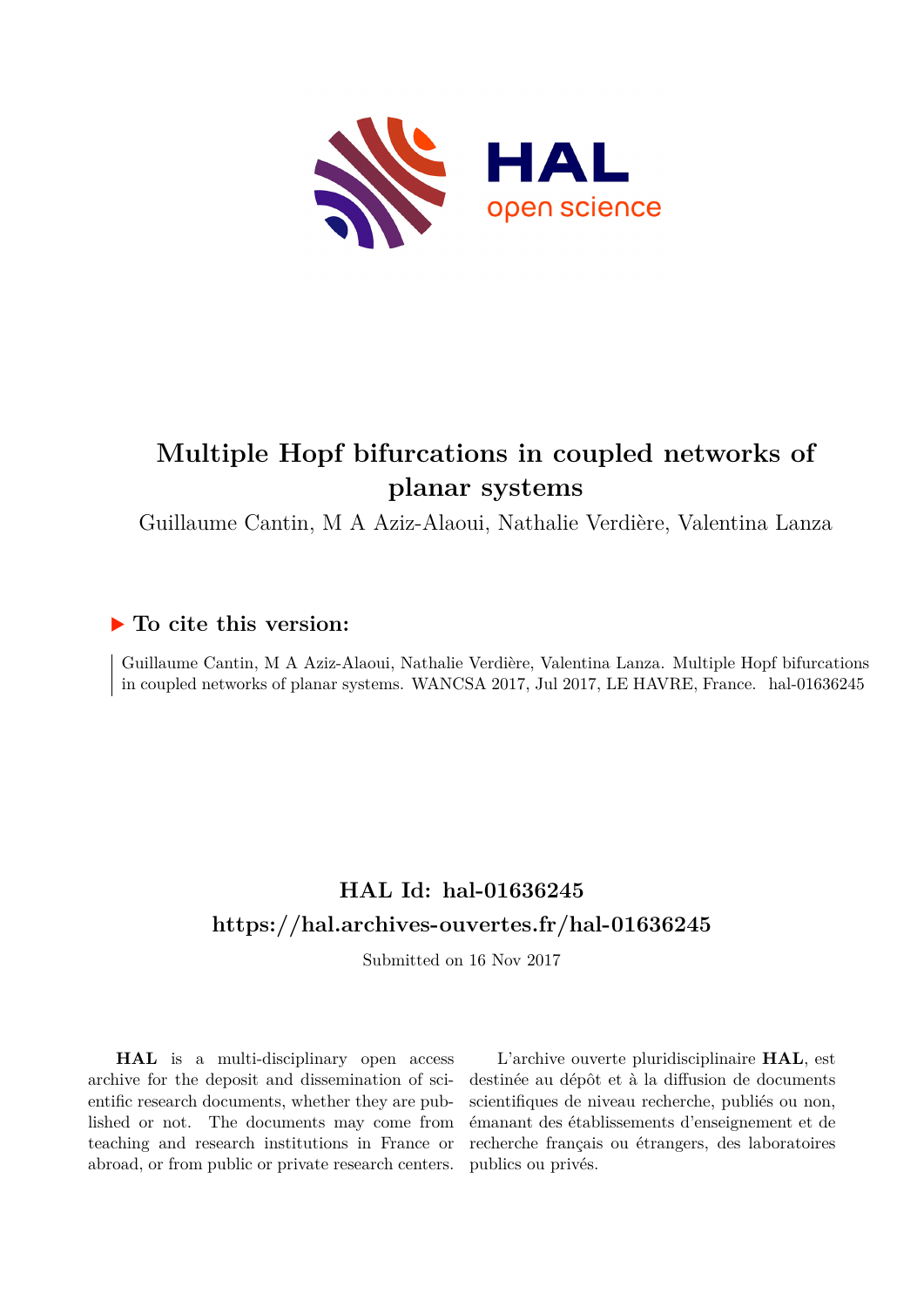

# **Multiple Hopf bifurcations in coupled networks of planar systems**

Guillaume Cantin, M A Aziz-Alaoui, Nathalie Verdière, Valentina Lanza

### **To cite this version:**

Guillaume Cantin, M A Aziz-Alaoui, Nathalie Verdière, Valentina Lanza. Multiple Hopf bifurcations in coupled networks of planar systems. WANCSA 2017, Jul 2017, LE HAVRE, France. hal-01636245

## **HAL Id: hal-01636245 <https://hal.archives-ouvertes.fr/hal-01636245>**

Submitted on 16 Nov 2017

**HAL** is a multi-disciplinary open access archive for the deposit and dissemination of scientific research documents, whether they are published or not. The documents may come from teaching and research institutions in France or abroad, or from public or private research centers.

L'archive ouverte pluridisciplinaire **HAL**, est destinée au dépôt et à la diffusion de documents scientifiques de niveau recherche, publiés ou non, émanant des établissements d'enseignement et de recherche français ou étrangers, des laboratoires publics ou privés.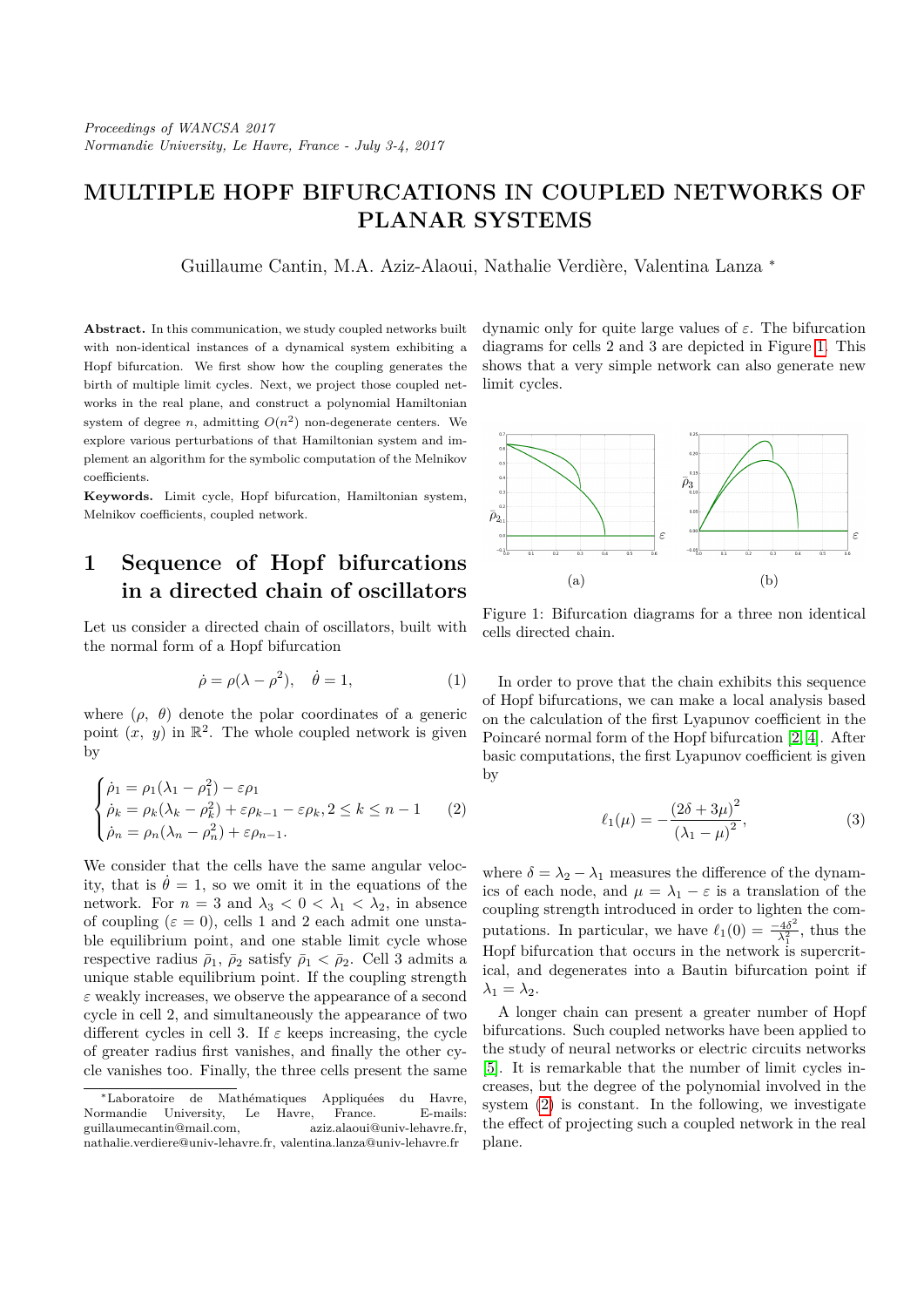## **MULTIPLE HOPF BIFURCATIONS IN COUPLED NETWORKS OF PLANAR SYSTEMS**

Guillaume Cantin, M.A. Aziz-Alaoui, Nathalie Verdière, Valentina Lanza \*

**Abstract.** In this communication, we study coupled networks built with non-identical instances of a dynamical system exhibiting a Hopf bifurcation. We first show how the coupling generates the birth of multiple limit cycles. Next, we project those coupled networks in the real plane, and construct a polynomial Hamiltonian system of degree *n*, admitting  $O(n^2)$  non-degenerate centers. We explore various perturbations of that Hamiltonian system and implement an algorithm for the symbolic computation of the Melnikov coefficients.

**Keywords.** Limit cycle, Hopf bifurcation, Hamiltonian system, Melnikov coefficients, coupled network.

#### **1 Sequence of Hopf bifurcations in a directed chain of oscillators**

Let us consider a directed chain of oscillators, built with the normal form of a Hopf bifurcation

$$
\dot{\rho} = \rho(\lambda - \rho^2), \quad \dot{\theta} = 1,\tag{1}
$$

where  $(\rho, \theta)$  denote the polar coordinates of a generic point  $(x, y)$  in  $\mathbb{R}^2$ . The whole coupled network is given by

$$
\begin{cases}\n\dot{\rho}_1 = \rho_1(\lambda_1 - \rho_1^2) - \varepsilon \rho_1 \\
\dot{\rho}_k = \rho_k(\lambda_k - \rho_k^2) + \varepsilon \rho_{k-1} - \varepsilon \rho_k, 2 \le k \le n - 1 \\
\dot{\rho}_n = \rho_n(\lambda_n - \rho_n^2) + \varepsilon \rho_{n-1}.\n\end{cases} (2)
$$

We consider that the cells have the same angular velocity, that is  $\dot{\theta} = 1$ , so we omit it in the equations of the network. For  $n = 3$  and  $\lambda_3 < 0 < \lambda_1 < \lambda_2$ , in absence of coupling  $(\varepsilon = 0)$ , cells 1 and 2 each admit one unstable equilibrium point, and one stable limit cycle whose respective radius  $\bar{\rho}_1$ ,  $\bar{\rho}_2$  satisfy  $\bar{\rho}_1 < \bar{\rho}_2$ . Cell 3 admits a unique stable equilibrium point. If the coupling strength *ε* weakly increases, we observe the appearance of a second cycle in cell 2, and simultaneously the appearance of two different cycles in cell 3. If  $\varepsilon$  keeps increasing, the cycle of greater radius first vanishes, and finally the other cycle vanishes too. Finally, the three cells present the same dynamic only for quite large values of *ε*. The bifurcation diagrams for cells 2 and 3 are depicted in Figure 1. This shows that a very simple network can also generate new limit cycles.



Figure 1: Bifurcation diagrams for a three non identical cells directed chain.

In order to prove that the chain exhibits this sequence of Hopf bifurcations, we can make a local analysis based on the calculation of the first Lyapunov coefficient in the Poincaré normal form of the Hopf bifurcation [2, 4]. After basic computations, the first Lyapunov coefficient is given by

$$
\ell_1(\mu) = -\frac{(2\delta + 3\mu)^2}{(\lambda_1 - \mu)^2},
$$
\n(3)

where  $\delta = \lambda_2 - \lambda_1$  measures the difference of the dynamics of each node, and  $\mu = \lambda_1 - \varepsilon$  is a translation of the coupling strength introduced in order to lighten the computations. In particular, we have  $\ell_1(0) = \frac{-4\delta^2}{\lambda^2}$  $\frac{14\delta^2}{\lambda_1^2}$ , thus the Hopf bifurcation that occurs in the network is supercritical, and degenerates into a Bautin bifurcation point if  $\lambda_1 = \lambda_2$ .

A longer chain can present a greater number of Hopf bifurcations. Such coupled networks have been applied to the study of neural networks or electric circuits networks [5]. It is remarkable that the number of limit cycles increases, but the degree of the polynomial involved in the system (2) is constant. In the following, we investigate the effect of projecting such a coupled network in the real plane.

<sup>∗</sup>Laboratoire de Math´ematiques Appliqu´ees du Havre, Normandie University, Le Havre, France. E-mails: guillaumecantin@mail.com, aziz.alaoui@univ-lehavre.fr, nathalie.verdiere@univ-lehavre.fr, valentina.lanza@univ-lehavre.fr